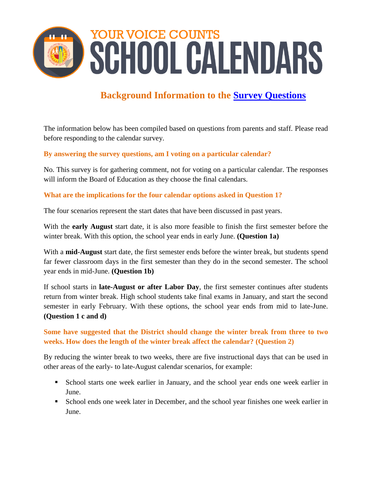<span id="page-0-0"></span>

# **Background Information to the [Survey Questions](#page-0-0)**

The information below has been compiled based on questions from parents and staff. Please read before responding to the calendar survey.

## **By answering the survey questions, am I voting on a particular calendar?**

No. This survey is for gathering comment, not for voting on a particular calendar. The responses will inform the Board of Education as they choose the final calendars.

#### **What are the implications for the four calendar options asked in Question 1?**

The four scenarios represent the start dates that have been discussed in past years.

With the **early August** start date, it is also more feasible to finish the first semester before the winter break. With this option, the school year ends in early June. **(Question 1a)**

With a **mid-August** start date, the first semester ends before the winter break, but students spend far fewer classroom days in the first semester than they do in the second semester. The school year ends in mid-June. **(Question 1b)**

If school starts in **late-August or after Labor Day**, the first semester continues after students return from winter break. High school students take final exams in January, and start the second semester in early February. With these options, the school year ends from mid to late-June. **(Question 1 c and d)** 

## **Some have suggested that the District should change the winter break from three to two weeks. How does the length of the winter break affect the calendar? (Question 2)**

By reducing the winter break to two weeks, there are five instructional days that can be used in other areas of the early- to late-August calendar scenarios, for example:

- School starts one week earlier in January, and the school year ends one week earlier in June.
- School ends one week later in December, and the school year finishes one week earlier in June.